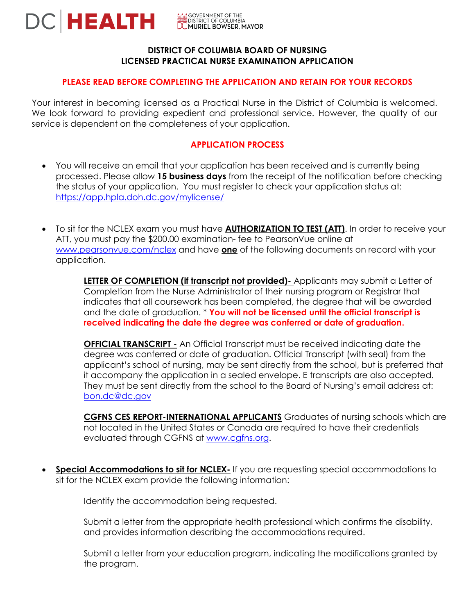

## **DISTRICT OF COLUMBIA BOARD OF NURSING LICENSED PRACTICAL NURSE EXAMINATION APPLICATION**

# **PLEASE READ BEFORE COMPLETING THE APPLICATION AND RETAIN FOR YOUR RECORDS**

Your interest in becoming licensed as a Practical Nurse in the District of Columbia is welcomed. We look forward to providing expedient and professional service. However, the quality of our service is dependent on the completeness of your application.

# **APPLICATION PROCESS**

- You will receive an email that your application has been received and is currently being processed. Please allow **15 business days** from the receipt of the notification before checking the status of your application. You must register to check your application status at: <https://app.hpla.doh.dc.gov/mylicense/>
- To sit for the NCLEX exam you must have **AUTHORIZATION TO TEST (ATT)**. In order to receive your ATT, you must pay the \$200.00 examination- fee to PearsonVue online at [www.pearsonvue.com/nclex](http://www.pearsonvue.com/nclex) and have **one** of the following documents on record with your application.

**LETTER OF COMPLETION (if transcript not provided)** Applicants may submit a Letter of Completion from the Nurse Administrator of their nursing program or Registrar that indicates that all coursework has been completed, the degree that will be awarded and the date of graduation. \* **You will not be licensed until the official transcript is received indicating the date the degree was conferred or date of graduation.** 

**OFFICIAL TRANSCRIPT -** An Official Transcript must be received indicating date the degree was conferred or date of graduation. Official Transcript (with seal) from the applicant's school of nursing, may be sent directly from the school, but is preferred that it accompany the application in a sealed envelope. E transcripts are also accepted. They must be sent directly from the school to the Board of Nursing's email address at: [bon.dc@dc.gov](mailto:bon.dc@dc.gov)

**CGFNS CES REPORT-INTERNATIONAL APPLICANTS** Graduates of nursing schools which are not located in the United States or Canada are required to have their credentials evaluated through CGFNS at [www.cgfns.org.](http://www.cgfns.org/)

**Special Accommodations to sit for NCLEX-** If you are requesting special accommodations to sit for the NCLEX exam provide the following information:

Identify the accommodation being requested.

Submit a letter from the appropriate health professional which confirms the disability, and provides information describing the accommodations required.

Submit a letter from your education program, indicating the modifications granted by the program.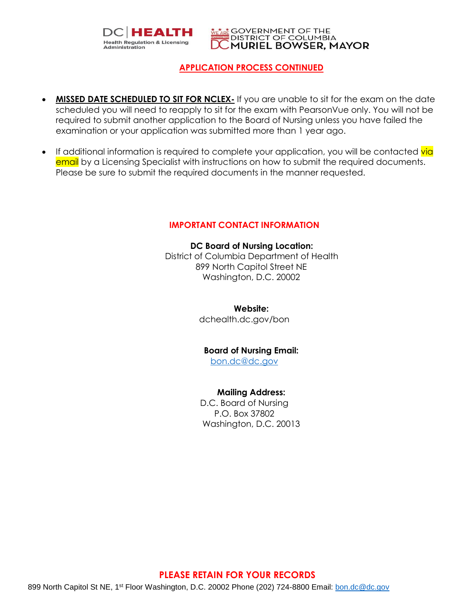



## **APPLICATION PROCESS CONTINUED**

- **MISSED DATE SCHEDULED TO SIT FOR NCLEX-** If you are unable to sit for the exam on the date scheduled you will need to reapply to sit for the exam with PearsonVue only. You will not be required to submit another application to the Board of Nursing unless you have failed the examination or your application was submitted more than 1 year ago.
- If additional information is required to complete your application, you will be contacted via email by a Licensing Specialist with instructions on how to submit the required documents. Please be sure to submit the required documents in the manner requested.

#### **IMPORTANT CONTACT INFORMATION**

**DC Board of Nursing Location:** District of Columbia Department of Health 899 North Capitol Street NE Washington, D.C. 20002

**Website:**

dchealth.dc.gov/bon

#### **Board of Nursing Email:**

[bon.dc@dc.gov](mailto:bon.dc@dc.gov)

**Mailing Address:**

D.C. Board of Nursing P.O. Box 37802 Washington, D.C. 20013

#### **PLEASE RETAIN FOR YOUR RECORDS**

899 North Capitol St NE, 1<sup>st</sup> Floor Washington, D.C. 20002 Phone (202) 724-8800 Email: [bon.dc@dc.gov](mailto:bon.dc@dc.gov)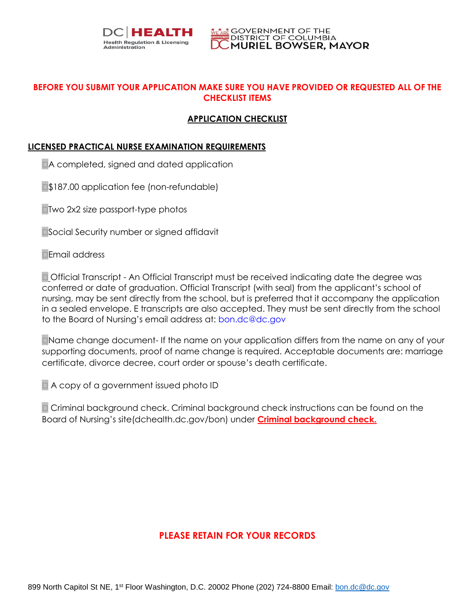



# **BEFORE YOU SUBMIT YOUR APPLICATION MAKE SURE YOU HAVE PROVIDED OR REQUESTED ALL OF THE CHECKLIST ITEMS**

# **APPLICATION CHECKLIST**

## **LICENSED PRACTICAL NURSE EXAMINATION REQUIREMENTS**

A completed, signed and dated application

**S187.00 application fee (non-refundable)** 

■Two 2x2 size passport-type photos

■Social Security number or signed affidavit

**□Email address** 

 Official Transcript - An Official Transcript must be received indicating date the degree was conferred or date of graduation. Official Transcript (with seal) from the applicant's school of nursing, may be sent directly from the school, but is preferred that it accompany the application in a sealed envelope. E transcripts are also accepted. They must be sent directly from the school to the Board of Nursing's email address at: [bon.dc@dc.gov](mailto:bon.dc@dc.gov)

Name change document- If the name on your application differs from the name on any of your supporting documents, proof of name change is required. Acceptable documents are: marriage certificate, divorce decree, court order or spouse's death certificate.

A copy of a government issued photo ID

 Criminal background check. Criminal background check instructions can be found on the Board of Nursing's site(dchealth.dc.gov/bon) under **Criminal background check.**

# **PLEASE RETAIN FOR YOUR RECORDS**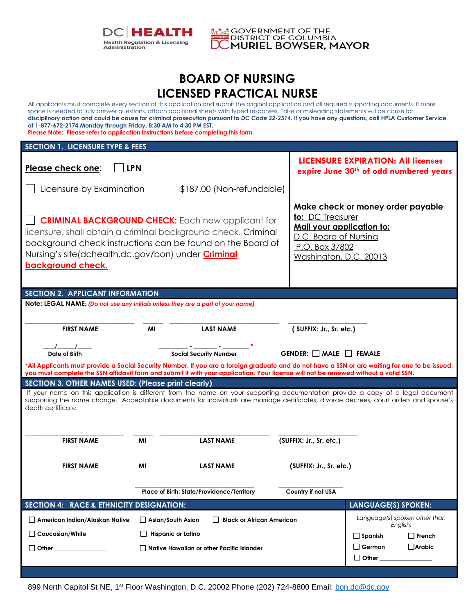



# **BOARD OF NURSING LICENSED PRACTICAL NURSE**

All applicants must complete every section of this application and submit the original application and all required supporting documents. If more space is needed to fully answer questions, attach additional sheets with typed responses. False or misleading statements will be cause for **disciplinary action and could be cause for criminal prosecution pursuant to** *DC Code 22-2514***. If you have any questions, call HPLA Customer Service at 1-877-672-2174 Monday through Friday, 8:30 AM to 4:30 PM EST.** 

**Please Note: Please refer to application instructions before completing this form.**

| <b>SECTION 1. LICENSURE TYPE &amp; FEES</b>                                                                                                                                                                                                                                                                                                                                                                                                 |                                                  |                                                   |                                          |                                                                                     |  |  |  |
|---------------------------------------------------------------------------------------------------------------------------------------------------------------------------------------------------------------------------------------------------------------------------------------------------------------------------------------------------------------------------------------------------------------------------------------------|--------------------------------------------------|---------------------------------------------------|------------------------------------------|-------------------------------------------------------------------------------------|--|--|--|
| Please check one:<br><b>LPN</b>                                                                                                                                                                                                                                                                                                                                                                                                             |                                                  |                                                   |                                          | <b>LICENSURE EXPIRATION: All licenses</b><br>expire June 30th of odd numbered years |  |  |  |
| Licensure by Examination                                                                                                                                                                                                                                                                                                                                                                                                                    |                                                  | \$187.00 (Non-refundable)                         |                                          |                                                                                     |  |  |  |
| Make check or money order payable<br>to: DC Treasurer<br><b>CRIMINAL BACKGROUND CHECK:</b> Each new applicant for<br><u>Mail your application to:</u><br>licensure, shall obtain a criminal background check. Criminal<br>D.C. Board of Nursing<br>background check instructions can be found on the Board of<br>P.O. Box 37802<br>Nursing's site(dchealth.dc.gov/bon) under <b>Criminal</b><br>Washington, D.C. 20013<br>background check. |                                                  |                                                   |                                          |                                                                                     |  |  |  |
| <b>SECTION 2. APPLICANT INFORMATION</b>                                                                                                                                                                                                                                                                                                                                                                                                     |                                                  |                                                   |                                          |                                                                                     |  |  |  |
| Note: LEGAL NAME: (Do not use any initials unless they are a part of your name)                                                                                                                                                                                                                                                                                                                                                             |                                                  |                                                   |                                          |                                                                                     |  |  |  |
| <b>FIRST NAME</b>                                                                                                                                                                                                                                                                                                                                                                                                                           | MI                                               | <b>LAST NAME</b>                                  | (SUFFIX: Jr., Sr. etc.)                  |                                                                                     |  |  |  |
| $\sqrt{2}$                                                                                                                                                                                                                                                                                                                                                                                                                                  |                                                  |                                                   |                                          |                                                                                     |  |  |  |
| <b>Date of Birth</b>                                                                                                                                                                                                                                                                                                                                                                                                                        |                                                  | <b>Social Security Number</b>                     | <b>GENDER:</b> $\Box$ MALE $\Box$ FEMALE |                                                                                     |  |  |  |
| *All Applicants must provide a Social Security Number. If you are a foreign graduate and do not have a SSN or are waiting for one to be issued,<br>you must complete the SSN affidavit form and submit it with your application. Your license will not be renewed without a valid SSN.                                                                                                                                                      |                                                  |                                                   |                                          |                                                                                     |  |  |  |
| <b>SECTION 3. OTHER NAMES USED: (Please print clearly)</b>                                                                                                                                                                                                                                                                                                                                                                                  |                                                  |                                                   |                                          |                                                                                     |  |  |  |
| If your name on this application is different from the name on your supporting documentation provide a copy of a legal document<br>supporting the name change. Acceptable documents for individuals are marriage certificates, divorce decrees, court orders and spouse's<br>death certificate.                                                                                                                                             |                                                  |                                                   |                                          |                                                                                     |  |  |  |
| <b>FIRST NAME</b>                                                                                                                                                                                                                                                                                                                                                                                                                           | MI                                               | <b>LAST NAME</b>                                  | (SUFFIX: Jr., Sr. etc.)                  |                                                                                     |  |  |  |
|                                                                                                                                                                                                                                                                                                                                                                                                                                             |                                                  |                                                   |                                          |                                                                                     |  |  |  |
| <b>FIRST NAME</b>                                                                                                                                                                                                                                                                                                                                                                                                                           | MI                                               | <b>LAST NAME</b>                                  | (SUFFIX: Jr., Sr. etc.)                  |                                                                                     |  |  |  |
|                                                                                                                                                                                                                                                                                                                                                                                                                                             |                                                  |                                                   |                                          |                                                                                     |  |  |  |
|                                                                                                                                                                                                                                                                                                                                                                                                                                             |                                                  | <b>Place of Birth: State/Providence/Territory</b> | Country if not USA                       |                                                                                     |  |  |  |
| SECTION 4: RACE & ETHNICITY DESIGNATION:                                                                                                                                                                                                                                                                                                                                                                                                    |                                                  |                                                   |                                          | <b>LANGUAGE(S) SPOKEN:</b>                                                          |  |  |  |
| $\Box$ American Indian/Alaskan Native                                                                                                                                                                                                                                                                                                                                                                                                       | $\Box$ Asian/South Asian                         | <b>Black or African American</b>                  |                                          | Language(s) spoken other than<br>English:                                           |  |  |  |
| $\Box$ Caucasian/White                                                                                                                                                                                                                                                                                                                                                                                                                      | <b>Hispanic or Latino</b>                        |                                                   |                                          | $\Box$ French<br>$\Box$ Spanish                                                     |  |  |  |
| $\Box$ Other                                                                                                                                                                                                                                                                                                                                                                                                                                | $\Box$ Native Hawaiian or other Pacific Islander |                                                   | $\Box$ German<br>$\Box$ Arabic           |                                                                                     |  |  |  |
|                                                                                                                                                                                                                                                                                                                                                                                                                                             |                                                  |                                                   |                                          | $\Box$ Other                                                                        |  |  |  |
|                                                                                                                                                                                                                                                                                                                                                                                                                                             |                                                  |                                                   |                                          |                                                                                     |  |  |  |

899 North Capitol St NE, 1<sup>st</sup> Floor Washington, D.C. 20002 Phone (202) 724-8800 Email: [bon.dc@dc.gov](mailto:bon.dc@dc.gov)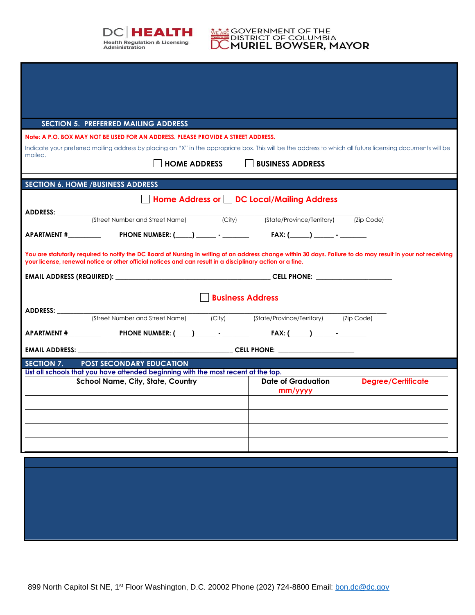

# **MEARE GOVERNMENT OF THE**<br>DISTRICT OF COLUMBIA<br>**DC MURIEL BOWSER, MAYOR**

| <b>SECTION 5. PREFERRED MAILING ADDRESS</b>                                                                                                                                                                             |                                                                                                                                                                                                                                                                            |                         |                                          |                           |  |  |  |
|-------------------------------------------------------------------------------------------------------------------------------------------------------------------------------------------------------------------------|----------------------------------------------------------------------------------------------------------------------------------------------------------------------------------------------------------------------------------------------------------------------------|-------------------------|------------------------------------------|---------------------------|--|--|--|
|                                                                                                                                                                                                                         | Note: A P.O. BOX MAY NOT BE USED FOR AN ADDRESS. PLEASE PROVIDE A STREET ADDRESS.                                                                                                                                                                                          |                         |                                          |                           |  |  |  |
| Indicate your preferred mailing address by placing an "X" in the appropriate box. This will be the address to which all future licensing documents will be<br>mailed.<br><b>HOME ADDRESS</b><br><b>BUSINESS ADDRESS</b> |                                                                                                                                                                                                                                                                            |                         |                                          |                           |  |  |  |
|                                                                                                                                                                                                                         | <b>SECTION 6. HOME / BUSINESS ADDRESS</b>                                                                                                                                                                                                                                  |                         |                                          |                           |  |  |  |
|                                                                                                                                                                                                                         |                                                                                                                                                                                                                                                                            |                         | Home Address or DC Local/Mailing Address |                           |  |  |  |
|                                                                                                                                                                                                                         |                                                                                                                                                                                                                                                                            |                         |                                          |                           |  |  |  |
|                                                                                                                                                                                                                         | APARTMENT # PHONE NUMBER: (____) _______ - FAX: (____) _____ - ______                                                                                                                                                                                                      |                         |                                          |                           |  |  |  |
|                                                                                                                                                                                                                         | You are statutorily required to notify the DC Board of Nursing in writing of an address change within 30 days. Failure to do may result in your not receiving<br>your license, renewal notice or other official notices and can result in a disciplinary action or a fine. |                         |                                          |                           |  |  |  |
|                                                                                                                                                                                                                         |                                                                                                                                                                                                                                                                            |                         |                                          |                           |  |  |  |
|                                                                                                                                                                                                                         |                                                                                                                                                                                                                                                                            | <b>Business Address</b> |                                          |                           |  |  |  |
|                                                                                                                                                                                                                         |                                                                                                                                                                                                                                                                            |                         |                                          |                           |  |  |  |
|                                                                                                                                                                                                                         |                                                                                                                                                                                                                                                                            |                         |                                          |                           |  |  |  |
|                                                                                                                                                                                                                         |                                                                                                                                                                                                                                                                            |                         |                                          |                           |  |  |  |
| SECTION 7.                                                                                                                                                                                                              | <b>POST SECONDARY EDUCATION</b>                                                                                                                                                                                                                                            |                         |                                          |                           |  |  |  |
|                                                                                                                                                                                                                         | List all schools that you have attended beginning with the most recent at the top.<br><b>School Name, City, State, Country</b>                                                                                                                                             |                         | Date of Graduation                       | <b>Degree/Certificate</b> |  |  |  |
|                                                                                                                                                                                                                         |                                                                                                                                                                                                                                                                            |                         | mm/yyyy                                  |                           |  |  |  |
|                                                                                                                                                                                                                         |                                                                                                                                                                                                                                                                            |                         |                                          |                           |  |  |  |
|                                                                                                                                                                                                                         |                                                                                                                                                                                                                                                                            |                         |                                          |                           |  |  |  |
|                                                                                                                                                                                                                         |                                                                                                                                                                                                                                                                            |                         |                                          |                           |  |  |  |
|                                                                                                                                                                                                                         |                                                                                                                                                                                                                                                                            |                         |                                          |                           |  |  |  |
|                                                                                                                                                                                                                         |                                                                                                                                                                                                                                                                            |                         |                                          |                           |  |  |  |
|                                                                                                                                                                                                                         |                                                                                                                                                                                                                                                                            |                         |                                          |                           |  |  |  |
|                                                                                                                                                                                                                         |                                                                                                                                                                                                                                                                            |                         |                                          |                           |  |  |  |
|                                                                                                                                                                                                                         |                                                                                                                                                                                                                                                                            |                         |                                          |                           |  |  |  |
|                                                                                                                                                                                                                         |                                                                                                                                                                                                                                                                            |                         |                                          |                           |  |  |  |
|                                                                                                                                                                                                                         |                                                                                                                                                                                                                                                                            |                         |                                          |                           |  |  |  |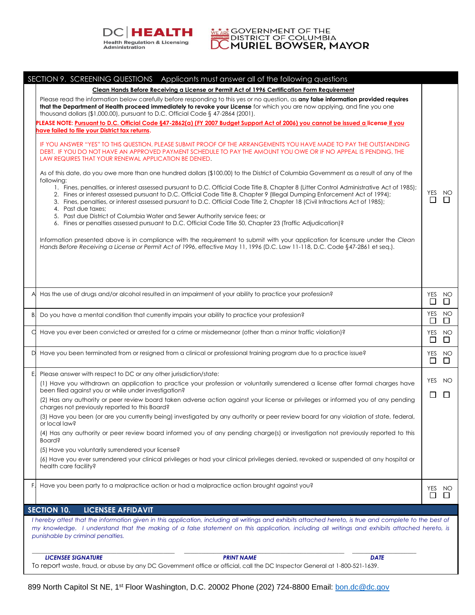

**MEARE GOVERNMENT OF THE SOLUMBIA**<br>DISTRICT OF COLUMBIA<br>DC MURIEL BOWSER, MAYOR

|    | SECTION 9. SCREENING QUESTIONS Applicants must answer all of the following questions                                                                                                                                                                                                                                                                                                                                          |               |                  |
|----|-------------------------------------------------------------------------------------------------------------------------------------------------------------------------------------------------------------------------------------------------------------------------------------------------------------------------------------------------------------------------------------------------------------------------------|---------------|------------------|
|    | Clean Hands Before Receiving a License or Permit Act of 1996 Certification Form Requirement                                                                                                                                                                                                                                                                                                                                   |               |                  |
|    | Please read the information below carefully before responding to this yes or no question, as any false information provided requires<br>that the Department of Health proceed immediately to revoke your License for which you are now applying, and fine you one<br>thousand dollars (\$1,000.00), pursuant to D.C. Official Code § 47-2864 (2001).                                                                          |               |                  |
|    | PLEASE NOTE: Pursuant to D.C. Official Code §47-2862(a) (FY 2007 Budget Support Act of 2006) you cannot be issued a license if you                                                                                                                                                                                                                                                                                            |               |                  |
|    | have failed to file your District tax returns.                                                                                                                                                                                                                                                                                                                                                                                |               |                  |
|    | IF YOU ANSWER "YES" TO THIS QUESTION, PLEASE SUBMIT PROOF OF THE ARRANGEMENTS YOU HAVE MADE TO PAY THE OUTSTANDING<br>DEBT. IF YOU DO NOT HAVE AN APPROVED PAYMENT SCHEDULE TO PAY THE AMOUNT YOU OWE OR IF NO APPEAL IS PENDING, THE<br>LAW REQUIRES THAT YOUR RENEWAL APPLICATION BE DENIED.                                                                                                                                |               |                  |
|    | As of this date, do you owe more than one hundred dollars (\$100.00) to the District of Columbia Government as a result of any of the<br>following:                                                                                                                                                                                                                                                                           |               |                  |
|    | 1. Fines, penalties, or interest assessed pursuant to D.C. Official Code Title 8, Chapter 8 (Litter Control Administrative Act of 1985);<br>2. Fines or interest assessed pursuant to D.C. Official Code Title 8, Chapter 9 (Illegal Dumping Enforcement Act of 1994);<br>3. Fines, penalties, or interest assessed pursuant to D.C. Official Code Title 2, Chapter 18 (Civil Infractions Act of 1985);<br>4. Past due taxes; | YES<br>$\Box$ | NO               |
|    | 5. Past due District of Columbia Water and Sewer Authority service fees; or<br>6. Fines or penalties assessed pursuant to D.C. Official Code Title 50, Chapter 23 (Traffic Adjudication)?                                                                                                                                                                                                                                     |               |                  |
|    | Information presented above is in compliance with the requirement to submit with your application for licensure under the Clean<br>Hands Before Receiving a License or Permit Act of 1996, effective May 11, 1996 (D.C. Law 11-118, D.C. Code §47-2861 et seq.).                                                                                                                                                              |               |                  |
|    |                                                                                                                                                                                                                                                                                                                                                                                                                               |               |                  |
|    | Has the use of drugs and/or alcohol resulted in an impairment of your ability to practice your profession?                                                                                                                                                                                                                                                                                                                    | $\Box$        | YES NO<br>$\Box$ |
| B. | Do you have a mental condition that currently impairs your ability to practice your profession?                                                                                                                                                                                                                                                                                                                               | YES<br>$\Box$ | NO<br>$\perp$    |
|    | Have you ever been convicted or arrested for a crime or misdemeanor (other than a minor traffic violation)?                                                                                                                                                                                                                                                                                                                   | YES<br>⊔      | NO<br>$\Box$     |
|    | Have you been terminated from or resigned from a clinical or professional training program due to a practice issue?                                                                                                                                                                                                                                                                                                           | $\Box$        | YES NO<br>$\Box$ |
| E. | Please answer with respect to DC or any other jurisdiction/state:                                                                                                                                                                                                                                                                                                                                                             |               |                  |
|    | (1) Have you withdrawn an application to practice your profession or voluntarily surrendered a license after formal charges have<br>been filed against you or while under investigation?                                                                                                                                                                                                                                      |               | YES NO           |
|    | (2) Has any authority or peer review board taken adverse action against your license or privileges or informed you of any pending<br>charges not previously reported to this Board?                                                                                                                                                                                                                                           | $\Box$        | $\Box$           |
|    | (3) Have you been (or are you currently being) investigated by any authority or peer review board for any violation of state, federal,<br>or local law?                                                                                                                                                                                                                                                                       |               |                  |
|    | (4) Has any authority or peer review board informed you of any pending charge(s) or investigation not previously reported to this<br><b>Board?</b>                                                                                                                                                                                                                                                                            |               |                  |
|    | (5) Have you voluntarily surrendered your license?                                                                                                                                                                                                                                                                                                                                                                            |               |                  |
|    | (6) Have you ever surrendered your clinical privileges or had your clinical privileges denied, revoked or suspended at any hospital or<br>health care facility?                                                                                                                                                                                                                                                               |               |                  |
|    | Have you been party to a malpractice action or had a malpractice action brought against you?                                                                                                                                                                                                                                                                                                                                  | YES           | NO.              |
|    |                                                                                                                                                                                                                                                                                                                                                                                                                               | $\Box$        | $\perp$          |
|    | <b>SECTION 10.</b><br><b>LICENSEE AFFIDAVIT</b>                                                                                                                                                                                                                                                                                                                                                                               |               |                  |
|    | I hereby attest that the information given in this application, including all writings and exhibits attached hereto, is true and complete to the best of<br>my knowledge. I understand that the making of a false statement on this application, including all writings and exhibits attached hereto, is<br>punishable by criminal penalties.                                                                                 |               |                  |
|    | <b>LICENSEE SIGNATURE</b><br><b>PRINT NAME</b><br><b>DATE</b>                                                                                                                                                                                                                                                                                                                                                                 |               |                  |
|    | To report waste, fraud, or abuse by any DC Government office or official, call the DC Inspector General at 1-800-521-1639.                                                                                                                                                                                                                                                                                                    |               |                  |

899 North Capitol St NE, 1<sup>st</sup> Floor Washington, D.C. 20002 Phone (202) 724-8800 Email: **bon.dc@dc.gov**